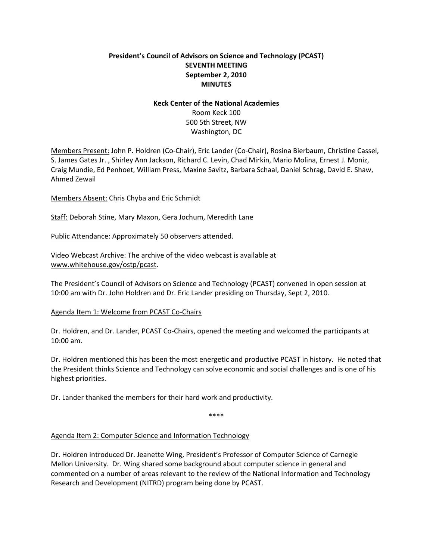# **President's Council of Advisors on Science and Technology (PCAST) SEVENTH MEETING September 2, 2010 MINUTES**

#### **Keck Center of the National Academies**

Room Keck 100 500 5th Street, NW Washington, DC

Members Present: John P. Holdren (Co‐Chair), Eric Lander (Co‐Chair), Rosina Bierbaum, Christine Cassel, S. James Gates Jr. , Shirley Ann Jackson, Richard C. Levin, Chad Mirkin, Mario Molina, Ernest J. Moniz, Craig Mundie, Ed Penhoet, William Press, Maxine Savitz, Barbara Schaal, Daniel Schrag, David E. Shaw, Ahmed Zewail

Members Absent: Chris Chyba and Eric Schmidt

Staff: Deborah Stine, Mary Maxon, Gera Jochum, Meredith Lane

Public Attendance: Approximately 50 observers attended.

Video Webcast Archive: The archive of the video webcast is available at www.whitehouse.gov/ostp/pcast.

The President's Council of Advisors on Science and Technology (PCAST) convened in open session at 10:00 am with Dr. John Holdren and Dr. Eric Lander presiding on Thursday, Sept 2, 2010.

## Agenda Item 1: Welcome from PCAST Co‐Chairs

Dr. Holdren, and Dr. Lander, PCAST Co‐Chairs, opened the meeting and welcomed the participants at 10:00 am.

Dr. Holdren mentioned this has been the most energetic and productive PCAST in history. He noted that the President thinks Science and Technology can solve economic and social challenges and is one of his highest priorities.

Dr. Lander thanked the members for their hard work and productivity.

\*\*\*\*

## Agenda Item 2: Computer Science and Information Technology

Dr. Holdren introduced Dr. Jeanette Wing, President's Professor of Computer Science of Carnegie Mellon University. Dr. Wing shared some background about computer science in general and commented on a number of areas relevant to the review of the National Information and Technology Research and Development (NITRD) program being done by PCAST.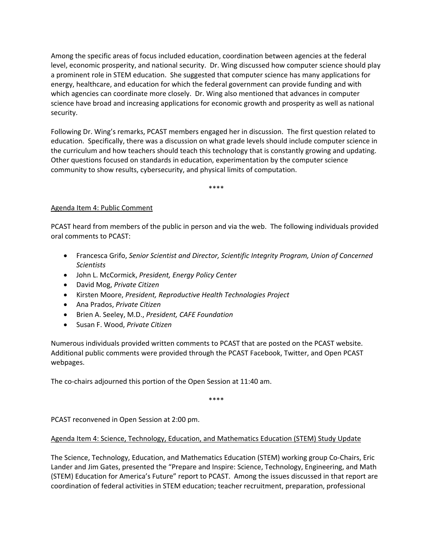Among the specific areas of focus included education, coordination between agencies at the federal level, economic prosperity, and national security. Dr. Wing discussed how computer science should play a prominent role in STEM education. She suggested that computer science has many applications for energy, healthcare, and education for which the federal government can provide funding and with which agencies can coordinate more closely. Dr. Wing also mentioned that advances in computer science have broad and increasing applications for economic growth and prosperity as well as national security.

Following Dr. Wing's remarks, PCAST members engaged her in discussion. The first question related to education. Specifically, there was a discussion on what grade levels should include computer science in the curriculum and how teachers should teach this technology that is constantly growing and updating. Other questions focused on standards in education, experimentation by the computer science community to show results, cybersecurity, and physical limits of computation.

\*\*\*\*

## Agenda Item 4: Public Comment

PCAST heard from members of the public in person and via the web. The following individuals provided oral comments to PCAST:

- Francesca Grifo, *Senior Scientist and Director, Scientific Integrity Program, Union of Concerned Scientists*
- John L. McCormick, *President, Energy Policy Center*
- David Mog, *Private Citizen*
- Kirsten Moore, *President, Reproductive Health Technologies Project*
- Ana Prados, *Private Citizen*
- Brien A. Seeley, M.D., *President, CAFE Foundation*
- Susan F. Wood, *Private Citizen*

Numerous individuals provided written comments to PCAST that are posted on the PCAST website. Additional public comments were provided through the PCAST Facebook, Twitter, and Open PCAST webpages.

The co-chairs adjourned this portion of the Open Session at 11:40 am.

\*\*\*\*

PCAST reconvened in Open Session at 2:00 pm.

## Agenda Item 4: Science, Technology, Education, and Mathematics Education (STEM) Study Update

The Science, Technology, Education, and Mathematics Education (STEM) working group Co‐Chairs, Eric Lander and Jim Gates, presented the "Prepare and Inspire: Science, Technology, Engineering, and Math (STEM) Education for America's Future" report to PCAST. Among the issues discussed in that report are coordination of federal activities in STEM education; teacher recruitment, preparation, professional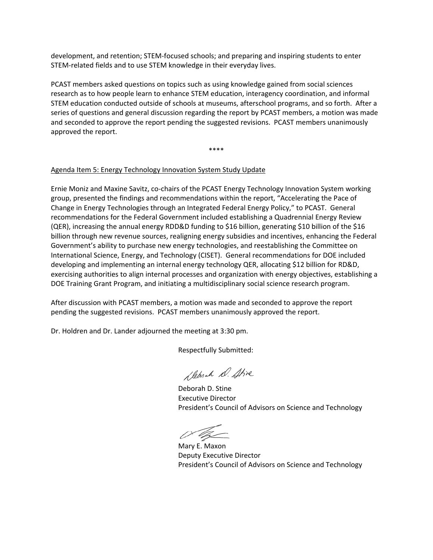development, and retention; STEM‐focused schools; and preparing and inspiring students to enter STEM‐related fields and to use STEM knowledge in their everyday lives.

PCAST members asked questions on topics such as using knowledge gained from social sciences research as to how people learn to enhance STEM education, interagency coordination, and informal STEM education conducted outside of schools at museums, afterschool programs, and so forth. After a series of questions and general discussion regarding the report by PCAST members, a motion was made and seconded to approve the report pending the suggested revisions. PCAST members unanimously approved the report.

\*\*\*\*

#### Agenda Item 5: Energy Technology Innovation System Study Update

Ernie Moniz and Maxine Savitz, co‐chairs of the PCAST Energy Technology Innovation System working group, presented the findings and recommendations within the report, "Accelerating the Pace of Change in Energy Technologies through an Integrated Federal Energy Policy," to PCAST. General recommendations for the Federal Government included establishing a Quadrennial Energy Review (QER), increasing the annual energy RDD&D funding to \$16 billion, generating \$10 billion of the \$16 billion through new revenue sources, realigning energy subsidies and incentives, enhancing the Federal Government's ability to purchase new energy technologies, and reestablishing the Committee on International Science, Energy, and Technology (CISET). General recommendations for DOE included developing and implementing an internal energy technology QER, allocating \$12 billion for RD&D, exercising authorities to align internal processes and organization with energy objectives, establishing a DOE Training Grant Program, and initiating a multidisciplinary social science research program.

After discussion with PCAST members, a motion was made and seconded to approve the report pending the suggested revisions. PCAST members unanimously approved the report.

Dr. Holdren and Dr. Lander adjourned the meeting at 3:30 pm.

Respectfully Submitted:

Slehrah D. Stive

Deborah D. Stine Executive Director President's Council of Advisors on Science and Technology

Mary E. Maxon Deputy Executive Director President's Council of Advisors on Science and Technology